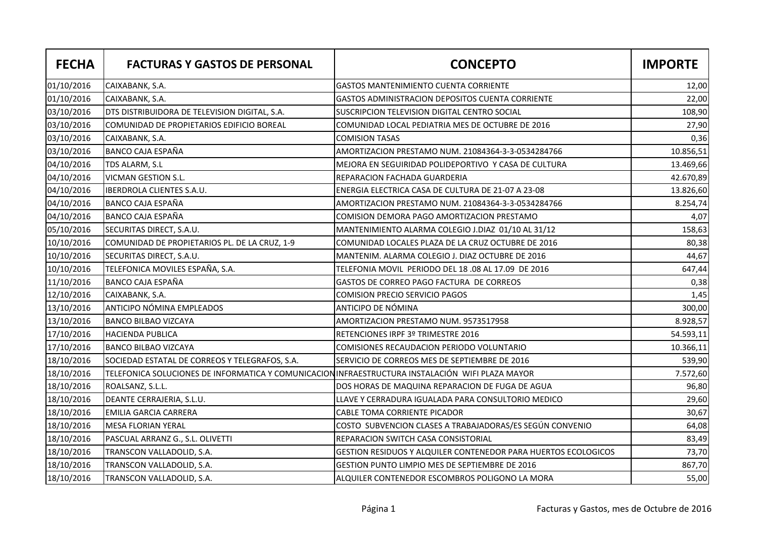| <b>FECHA</b> | <b>FACTURAS Y GASTOS DE PERSONAL</b>                                                             | <b>CONCEPTO</b>                                                | <b>IMPORTE</b> |
|--------------|--------------------------------------------------------------------------------------------------|----------------------------------------------------------------|----------------|
| 01/10/2016   | CAIXABANK, S.A.                                                                                  | <b>GASTOS MANTENIMIENTO CUENTA CORRIENTE</b>                   | 12,00          |
| 01/10/2016   | CAIXABANK, S.A.                                                                                  | GASTOS ADMINISTRACION DEPOSITOS CUENTA CORRIENTE               | 22,00          |
| 03/10/2016   | DTS DISTRIBUIDORA DE TELEVISION DIGITAL, S.A.                                                    | SUSCRIPCION TELEVISION DIGITAL CENTRO SOCIAL                   | 108,90         |
| 03/10/2016   | COMUNIDAD DE PROPIETARIOS EDIFICIO BOREAL                                                        | COMUNIDAD LOCAL PEDIATRIA MES DE OCTUBRE DE 2016               | 27,90          |
| 03/10/2016   | CAIXABANK, S.A.                                                                                  | COMISION TASAS                                                 | 0,36           |
| 03/10/2016   | <b>BANCO CAJA ESPAÑA</b>                                                                         | AMORTIZACION PRESTAMO NUM. 21084364-3-3-0534284766             | 10.856,51      |
| 04/10/2016   | TDS ALARM, S.L                                                                                   | MEJORA EN SEGUIRIDAD POLIDEPORTIVO Y CASA DE CULTURA           | 13.469,66      |
| 04/10/2016   | <b>VICMAN GESTION S.L.</b>                                                                       | REPARACION FACHADA GUARDERIA                                   | 42.670,89      |
| 04/10/2016   | <b>IBERDROLA CLIENTES S.A.U.</b>                                                                 | ENERGIA ELECTRICA CASA DE CULTURA DE 21-07 A 23-08             | 13.826,60      |
| 04/10/2016   | BANCO CAJA ESPAÑA                                                                                | AMORTIZACION PRESTAMO NUM. 21084364-3-3-0534284766             | 8.254,74       |
| 04/10/2016   | BANCO CAJA ESPAÑA                                                                                | COMISION DEMORA PAGO AMORTIZACION PRESTAMO                     | 4,07           |
| 05/10/2016   | SECURITAS DIRECT, S.A.U.                                                                         | MANTENIMIENTO ALARMA COLEGIO J.DIAZ 01/10 AL 31/12             | 158,63         |
| 10/10/2016   | COMUNIDAD DE PROPIETARIOS PL. DE LA CRUZ, 1-9                                                    | COMUNIDAD LOCALES PLAZA DE LA CRUZ OCTUBRE DE 2016             | 80,38          |
| 10/10/2016   | SECURITAS DIRECT, S.A.U.                                                                         | MANTENIM. ALARMA COLEGIO J. DIAZ OCTUBRE DE 2016               | 44,67          |
| 10/10/2016   | TELEFONICA MOVILES ESPAÑA, S.A.                                                                  | TELEFONIA MOVIL PERIODO DEL 18.08 AL 17.09 DE 2016             | 647,44         |
| 11/10/2016   | <b>BANCO CAJA ESPAÑA</b>                                                                         | GASTOS DE CORREO PAGO FACTURA DE CORREOS                       | 0,38           |
| 12/10/2016   | CAIXABANK, S.A.                                                                                  | COMISION PRECIO SERVICIO PAGOS                                 | 1,45           |
| 13/10/2016   | ANTICIPO NÓMINA EMPLEADOS                                                                        | ANTICIPO DE NÓMINA                                             | 300,00         |
| 13/10/2016   | <b>BANCO BILBAO VIZCAYA</b>                                                                      | AMORTIZACION PRESTAMO NUM. 9573517958                          | 8.928,57       |
| 17/10/2016   | <b>HACIENDA PUBLICA</b>                                                                          | RETENCIONES IRPF 3º TRIMESTRE 2016                             | 54.593,11      |
| 17/10/2016   | <b>BANCO BILBAO VIZCAYA</b>                                                                      | COMISIONES RECAUDACION PERIODO VOLUNTARIO                      | 10.366,11      |
| 18/10/2016   | SOCIEDAD ESTATAL DE CORREOS Y TELEGRAFOS, S.A.                                                   | SERVICIO DE CORREOS MES DE SEPTIEMBRE DE 2016                  | 539,90         |
| 18/10/2016   | TELEFONICA SOLUCIONES DE INFORMATICA Y COMUNICACION INFRAESTRUCTURA INSTALACIÓN WIFI PLAZA MAYOR |                                                                | 7.572,60       |
| 18/10/2016   | ROALSANZ, S.L.L.                                                                                 | DOS HORAS DE MAQUINA REPARACION DE FUGA DE AGUA                | 96,80          |
| 18/10/2016   | DEANTE CERRAJERIA, S.L.U.                                                                        | LLAVE Y CERRADURA IGUALADA PARA CONSULTORIO MEDICO             | 29,60          |
| 18/10/2016   | <b>EMILIA GARCIA CARRERA</b>                                                                     | CABLE TOMA CORRIENTE PICADOR                                   | 30,67          |
| 18/10/2016   | <b>MESA FLORIAN YERAL</b>                                                                        | COSTO SUBVENCION CLASES A TRABAJADORAS/ES SEGÚN CONVENIO       | 64,08          |
| 18/10/2016   | PASCUAL ARRANZ G., S.L. OLIVETTI                                                                 | REPARACION SWITCH CASA CONSISTORIAL                            | 83,49          |
| 18/10/2016   | TRANSCON VALLADOLID, S.A.                                                                        | GESTION RESIDUOS Y ALQUILER CONTENEDOR PARA HUERTOS ECOLOGICOS | 73,70          |
| 18/10/2016   | TRANSCON VALLADOLID, S.A.                                                                        | GESTION PUNTO LIMPIO MES DE SEPTIEMBRE DE 2016                 | 867,70         |
| 18/10/2016   | TRANSCON VALLADOLID, S.A.                                                                        | ALQUILER CONTENEDOR ESCOMBROS POLIGONO LA MORA                 | 55,00          |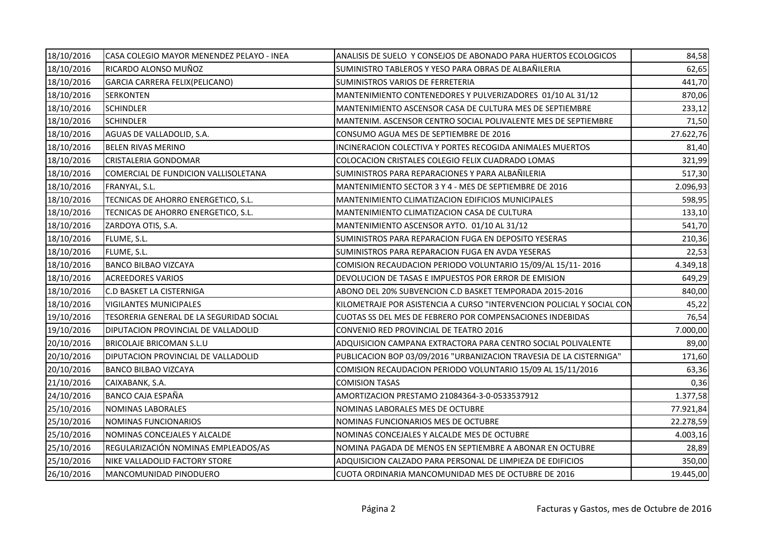| 18/10/2016 | CASA COLEGIO MAYOR MENENDEZ PELAYO - INEA | ANALISIS DE SUELO Y CONSEJOS DE ABONADO PARA HUERTOS ECOLOGICOS        | 84,58     |
|------------|-------------------------------------------|------------------------------------------------------------------------|-----------|
| 18/10/2016 | RICARDO ALONSO MUÑOZ                      | SUMINISTRO TABLEROS Y YESO PARA OBRAS DE ALBAÑILERIA                   | 62,65     |
| 18/10/2016 | GARCIA CARRERA FELIX(PELICANO)            | SUMINISTROS VARIOS DE FERRETERIA                                       | 441,70    |
| 18/10/2016 | <b>SERKONTEN</b>                          | MANTENIMIENTO CONTENEDORES Y PULVERIZADORES 01/10 AL 31/12             | 870,06    |
| 18/10/2016 | <b>SCHINDLER</b>                          | MANTENIMIENTO ASCENSOR CASA DE CULTURA MES DE SEPTIEMBRE               | 233,12    |
| 18/10/2016 | <b>SCHINDLER</b>                          | MANTENIM. ASCENSOR CENTRO SOCIAL POLIVALENTE MES DE SEPTIEMBRE         | 71,50     |
| 18/10/2016 | AGUAS DE VALLADOLID, S.A.                 | CONSUMO AGUA MES DE SEPTIEMBRE DE 2016                                 | 27.622,76 |
| 18/10/2016 | BELEN RIVAS MERINO                        | INCINERACION COLECTIVA Y PORTES RECOGIDA ANIMALES MUERTOS              | 81,40     |
| 18/10/2016 | CRISTALERIA GONDOMAR                      | COLOCACION CRISTALES COLEGIO FELIX CUADRADO LOMAS                      | 321,99    |
| 18/10/2016 | COMERCIAL DE FUNDICION VALLISOLETANA      | SUMINISTROS PARA REPARACIONES Y PARA ALBAÑILERIA                       | 517,30    |
| 18/10/2016 | FRANYAL, S.L.                             | MANTENIMIENTO SECTOR 3 Y 4 - MES DE SEPTIEMBRE DE 2016                 | 2.096,93  |
| 18/10/2016 | TECNICAS DE AHORRO ENERGETICO, S.L.       | MANTENIMIENTO CLIMATIZACION EDIFICIOS MUNICIPALES                      | 598,95    |
| 18/10/2016 | TECNICAS DE AHORRO ENERGETICO, S.L.       | MANTENIMIENTO CLIMATIZACION CASA DE CULTURA                            | 133,10    |
| 18/10/2016 | ZARDOYA OTIS, S.A.                        | MANTENIMIENTO ASCENSOR AYTO. 01/10 AL 31/12                            | 541,70    |
| 18/10/2016 | FLUME, S.L.                               | SUMINISTROS PARA REPARACION FUGA EN DEPOSITO YESERAS                   | 210,36    |
| 18/10/2016 | FLUME, S.L.                               | SUMINISTROS PARA REPARACION FUGA EN AVDA YESERAS                       | 22,53     |
| 18/10/2016 | <b>BANCO BILBAO VIZCAYA</b>               | COMISION RECAUDACION PERIODO VOLUNTARIO 15/09/AL 15/11-2016            | 4.349,18  |
| 18/10/2016 | <b>ACREEDORES VARIOS</b>                  | DEVOLUCION DE TASAS E IMPUESTOS POR ERROR DE EMISION                   | 649,29    |
| 18/10/2016 | <b>C.D BASKET LA CISTERNIGA</b>           | ABONO DEL 20% SUBVENCION C.D BASKET TEMPORADA 2015-2016                | 840,00    |
| 18/10/2016 | <b>VIGILANTES MUNICIPALES</b>             | KILOMETRAJE POR ASISTENCIA A CURSO "INTERVENCION POLICIAL Y SOCIAL CON | 45,22     |
| 19/10/2016 | TESORERIA GENERAL DE LA SEGURIDAD SOCIAL  | CUOTAS SS DEL MES DE FEBRERO POR COMPENSACIONES INDEBIDAS              | 76,54     |
| 19/10/2016 | DIPUTACION PROVINCIAL DE VALLADOLID       | CONVENIO RED PROVINCIAL DE TEATRO 2016                                 | 7.000,00  |
| 20/10/2016 | BRICOLAJE BRICOMAN S.L.U                  | ADQUISICION CAMPANA EXTRACTORA PARA CENTRO SOCIAL POLIVALENTE          | 89,00     |
| 20/10/2016 | DIPUTACION PROVINCIAL DE VALLADOLID       | PUBLICACION BOP 03/09/2016 "URBANIZACION TRAVESIA DE LA CISTERNIGA"    | 171,60    |
| 20/10/2016 | <b>BANCO BILBAO VIZCAYA</b>               | COMISION RECAUDACION PERIODO VOLUNTARIO 15/09 AL 15/11/2016            | 63,36     |
| 21/10/2016 | CAIXABANK, S.A.                           | <b>COMISION TASAS</b>                                                  | 0,36      |
| 24/10/2016 | BANCO CAJA ESPAÑA                         | AMORTIZACION PRESTAMO 21084364-3-0-0533537912                          | 1.377,58  |
| 25/10/2016 | NOMINAS LABORALES                         | NOMINAS LABORALES MES DE OCTUBRE                                       | 77.921,84 |
| 25/10/2016 | NOMINAS FUNCIONARIOS                      | NOMINAS FUNCIONARIOS MES DE OCTUBRE                                    | 22.278,59 |
| 25/10/2016 | NOMINAS CONCEJALES Y ALCALDE              | NOMINAS CONCEJALES Y ALCALDE MES DE OCTUBRE                            | 4.003,16  |
| 25/10/2016 | REGULARIZACIÓN NOMINAS EMPLEADOS/AS       | NOMINA PAGADA DE MENOS EN SEPTIEMBRE A ABONAR EN OCTUBRE               | 28,89     |
| 25/10/2016 | NIKE VALLADOLID FACTORY STORE             | ADQUISICION CALZADO PARA PERSONAL DE LIMPIEZA DE EDIFICIOS             | 350,00    |
| 26/10/2016 | MANCOMUNIDAD PINODUERO                    | CUOTA ORDINARIA MANCOMUNIDAD MES DE OCTUBRE DE 2016                    | 19.445,00 |